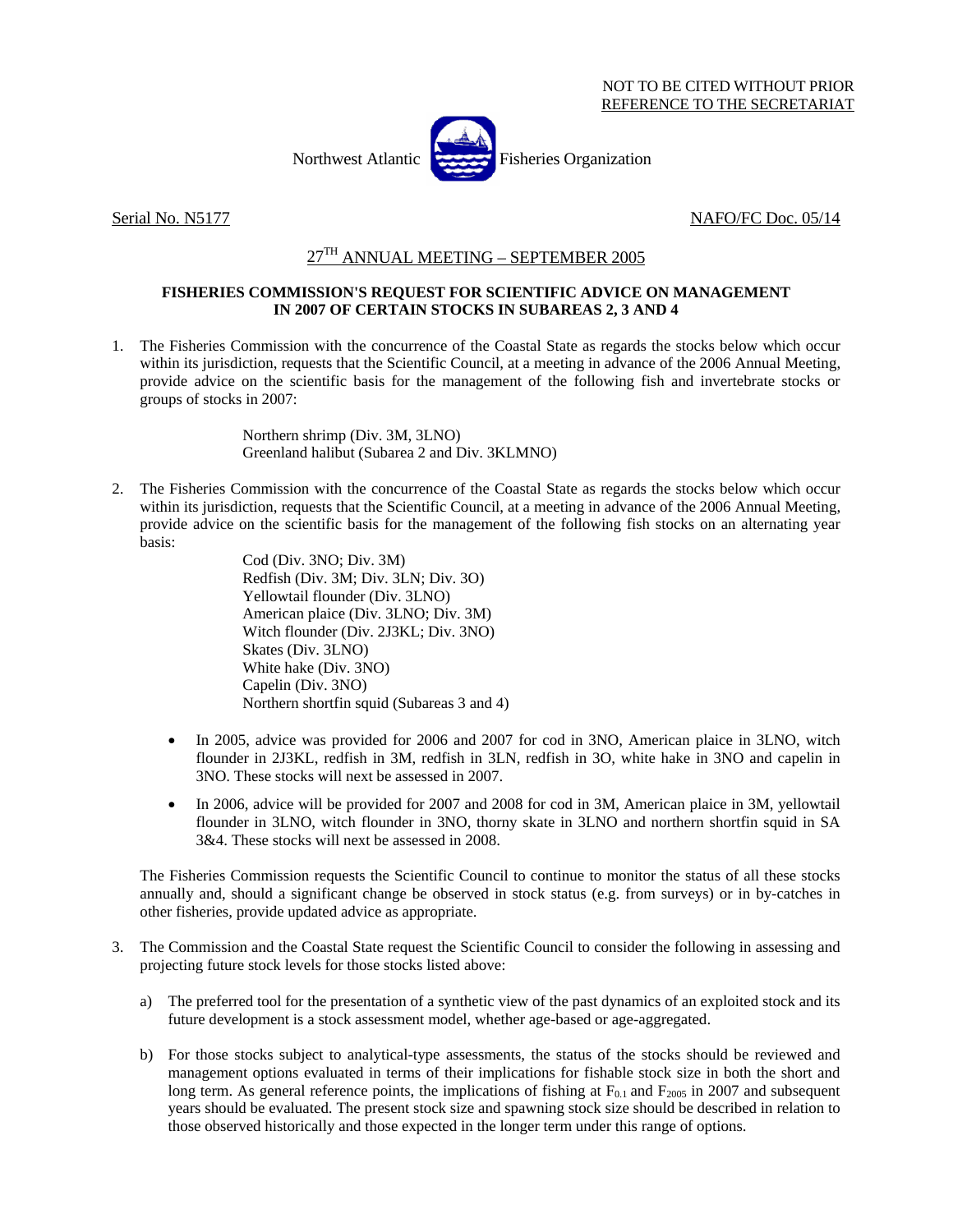Northwest Atlantic Fisheries Organization



Serial No. N5177 NAFO/FC Doc. 05/14

## 27TH ANNUAL MEETING – SEPTEMBER 2005

## **FISHERIES COMMISSION'S REQUEST FOR SCIENTIFIC ADVICE ON MANAGEMENT IN 2007 OF CERTAIN STOCKS IN SUBAREAS 2, 3 AND 4**

1. The Fisheries Commission with the concurrence of the Coastal State as regards the stocks below which occur within its jurisdiction, requests that the Scientific Council, at a meeting in advance of the 2006 Annual Meeting, provide advice on the scientific basis for the management of the following fish and invertebrate stocks or groups of stocks in 2007:

> Northern shrimp (Div. 3M, 3LNO) Greenland halibut (Subarea 2 and Div. 3KLMNO)

2. The Fisheries Commission with the concurrence of the Coastal State as regards the stocks below which occur within its jurisdiction, requests that the Scientific Council, at a meeting in advance of the 2006 Annual Meeting, provide advice on the scientific basis for the management of the following fish stocks on an alternating year basis:

> Cod (Div. 3NO; Div. 3M) Redfish (Div. 3M; Div. 3LN; Div. 3O) Yellowtail flounder (Div. 3LNO) American plaice (Div. 3LNO; Div. 3M) Witch flounder (Div. 2J3KL; Div. 3NO) Skates (Div. 3LNO) White hake (Div. 3NO) Capelin (Div. 3NO) Northern shortfin squid (Subareas 3 and 4)

- In 2005, advice was provided for 2006 and 2007 for cod in 3NO, American plaice in 3LNO, witch flounder in 2J3KL, redfish in 3M, redfish in 3LN, redfish in 3O, white hake in 3NO and capelin in 3NO. These stocks will next be assessed in 2007.
- In 2006, advice will be provided for 2007 and 2008 for cod in 3M, American plaice in 3M, yellowtail flounder in 3LNO, witch flounder in 3NO, thorny skate in 3LNO and northern shortfin squid in SA 3&4. These stocks will next be assessed in 2008.

The Fisheries Commission requests the Scientific Council to continue to monitor the status of all these stocks annually and, should a significant change be observed in stock status (e.g. from surveys) or in by-catches in other fisheries, provide updated advice as appropriate.

- 3. The Commission and the Coastal State request the Scientific Council to consider the following in assessing and projecting future stock levels for those stocks listed above:
	- a) The preferred tool for the presentation of a synthetic view of the past dynamics of an exploited stock and its future development is a stock assessment model, whether age-based or age-aggregated.
	- b) For those stocks subject to analytical-type assessments, the status of the stocks should be reviewed and management options evaluated in terms of their implications for fishable stock size in both the short and long term. As general reference points, the implications of fishing at  $F_{0,1}$  and  $F_{2005}$  in 2007 and subsequent years should be evaluated. The present stock size and spawning stock size should be described in relation to those observed historically and those expected in the longer term under this range of options.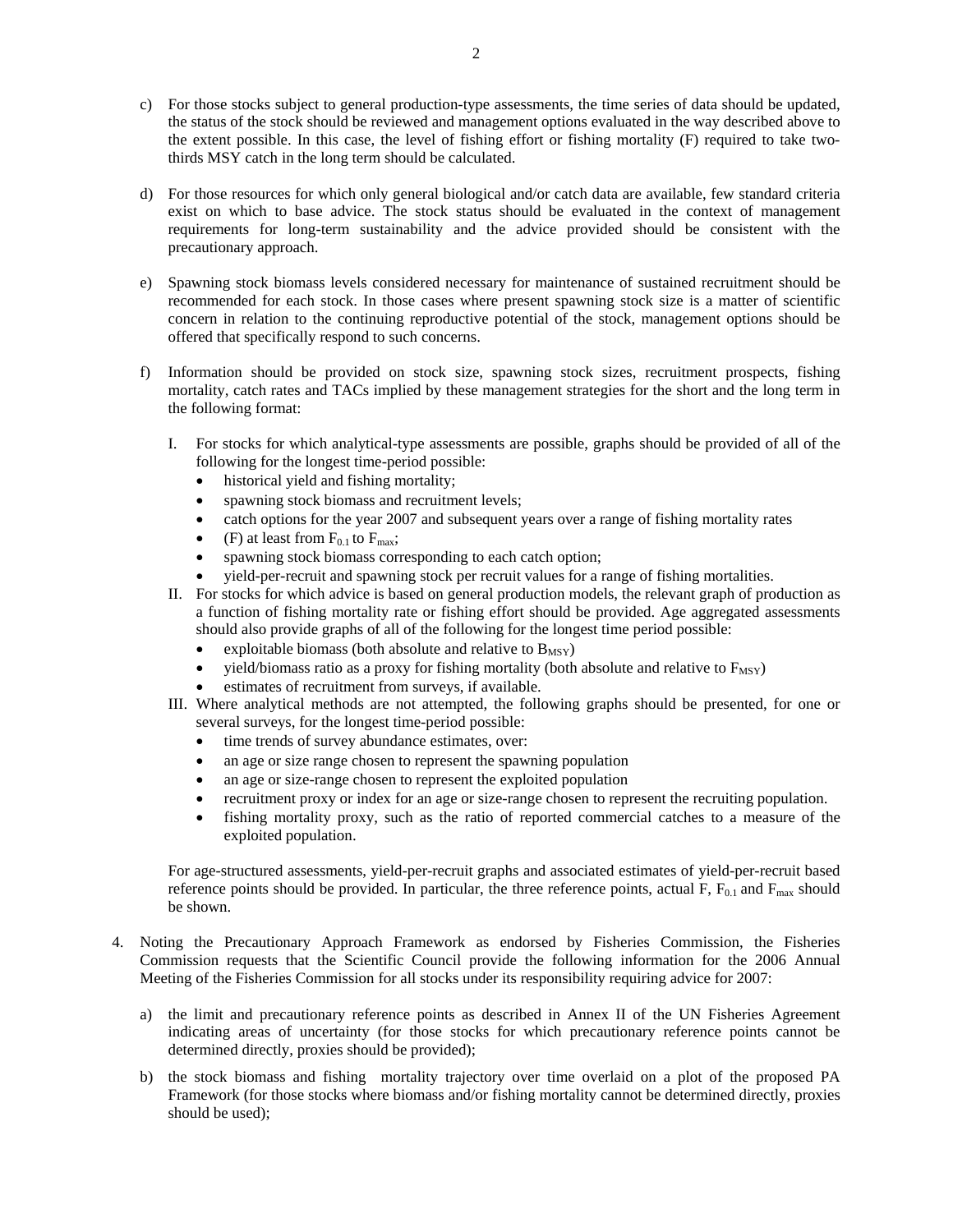- c) For those stocks subject to general production-type assessments, the time series of data should be updated, the status of the stock should be reviewed and management options evaluated in the way described above to the extent possible. In this case, the level of fishing effort or fishing mortality (F) required to take twothirds MSY catch in the long term should be calculated.
- d) For those resources for which only general biological and/or catch data are available, few standard criteria exist on which to base advice. The stock status should be evaluated in the context of management requirements for long-term sustainability and the advice provided should be consistent with the precautionary approach.
- e) Spawning stock biomass levels considered necessary for maintenance of sustained recruitment should be recommended for each stock. In those cases where present spawning stock size is a matter of scientific concern in relation to the continuing reproductive potential of the stock, management options should be offered that specifically respond to such concerns.
- f) Information should be provided on stock size, spawning stock sizes, recruitment prospects, fishing mortality, catch rates and TACs implied by these management strategies for the short and the long term in the following format:
	- I. For stocks for which analytical-type assessments are possible, graphs should be provided of all of the following for the longest time-period possible:
		- historical yield and fishing mortality;
		- spawning stock biomass and recruitment levels;
		- catch options for the year 2007 and subsequent years over a range of fishing mortality rates
		- (F) at least from  $F_{0.1}$  to  $F_{\text{max}}$ ;
		- spawning stock biomass corresponding to each catch option;
		- yield-per-recruit and spawning stock per recruit values for a range of fishing mortalities.
	- II. For stocks for which advice is based on general production models, the relevant graph of production as a function of fishing mortality rate or fishing effort should be provided. Age aggregated assessments should also provide graphs of all of the following for the longest time period possible:
		- exploitable biomass (both absolute and relative to  $B_{MSY}$ )
		- yield/biomass ratio as a proxy for fishing mortality (both absolute and relative to  $F_{MSY}$ )
		- estimates of recruitment from surveys, if available.
	- III. Where analytical methods are not attempted, the following graphs should be presented, for one or several surveys, for the longest time-period possible:
		- time trends of survey abundance estimates, over:
		- an age or size range chosen to represent the spawning population
		- an age or size-range chosen to represent the exploited population
		- recruitment proxy or index for an age or size-range chosen to represent the recruiting population.
		- fishing mortality proxy, such as the ratio of reported commercial catches to a measure of the exploited population.

For age-structured assessments, yield-per-recruit graphs and associated estimates of yield-per-recruit based reference points should be provided. In particular, the three reference points, actual F,  $F_{0.1}$  and  $F_{\text{max}}$  should be shown.

- 4. Noting the Precautionary Approach Framework as endorsed by Fisheries Commission, the Fisheries Commission requests that the Scientific Council provide the following information for the 2006 Annual Meeting of the Fisheries Commission for all stocks under its responsibility requiring advice for 2007:
	- a) the limit and precautionary reference points as described in Annex II of the UN Fisheries Agreement indicating areas of uncertainty (for those stocks for which precautionary reference points cannot be determined directly, proxies should be provided);
	- b) the stock biomass and fishing mortality trajectory over time overlaid on a plot of the proposed PA Framework (for those stocks where biomass and/or fishing mortality cannot be determined directly, proxies should be used);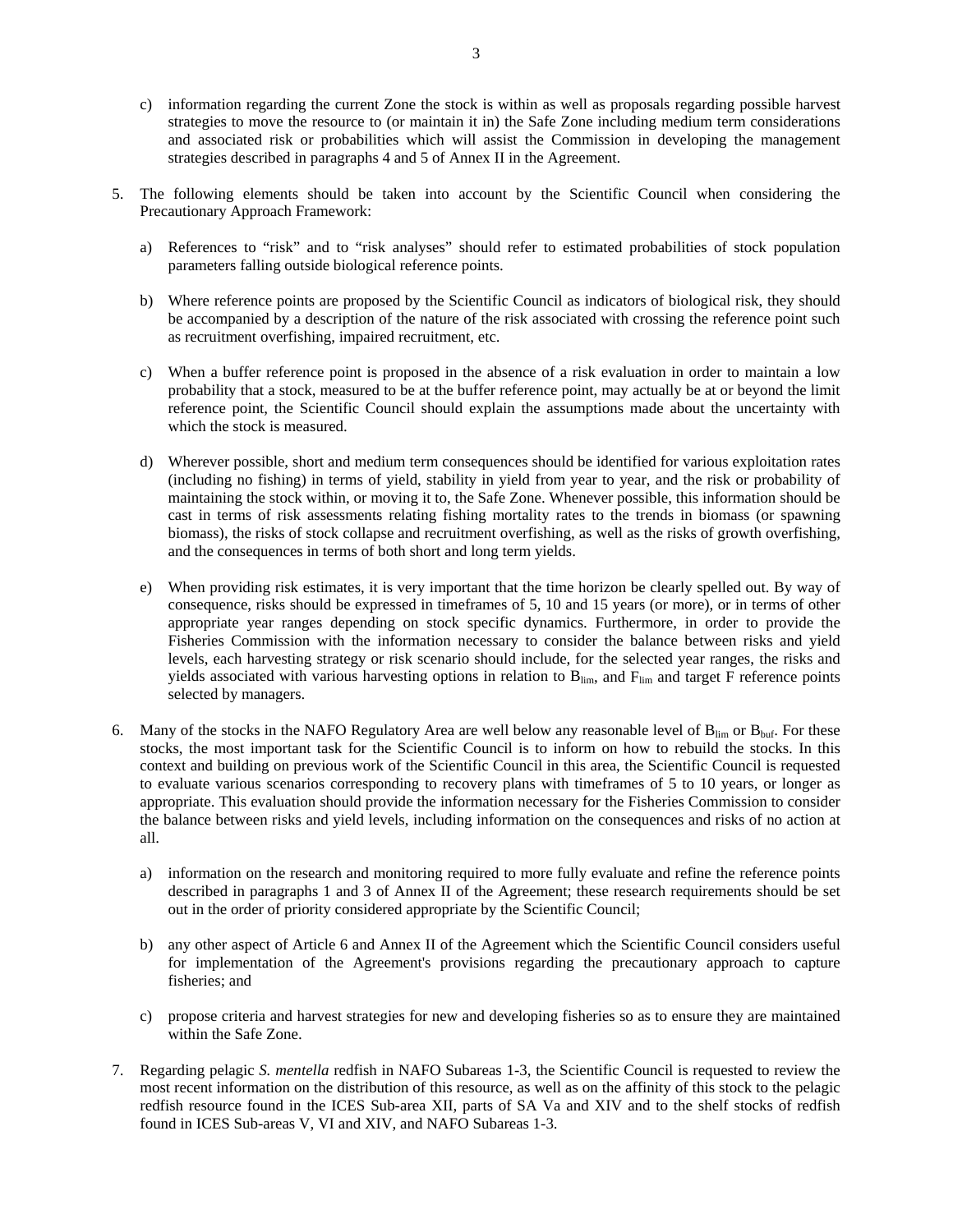- c) information regarding the current Zone the stock is within as well as proposals regarding possible harvest strategies to move the resource to (or maintain it in) the Safe Zone including medium term considerations and associated risk or probabilities which will assist the Commission in developing the management strategies described in paragraphs 4 and 5 of Annex II in the Agreement.
- 5. The following elements should be taken into account by the Scientific Council when considering the Precautionary Approach Framework:
	- a) References to "risk" and to "risk analyses" should refer to estimated probabilities of stock population parameters falling outside biological reference points.
	- b) Where reference points are proposed by the Scientific Council as indicators of biological risk, they should be accompanied by a description of the nature of the risk associated with crossing the reference point such as recruitment overfishing, impaired recruitment, etc.
	- c) When a buffer reference point is proposed in the absence of a risk evaluation in order to maintain a low probability that a stock, measured to be at the buffer reference point, may actually be at or beyond the limit reference point, the Scientific Council should explain the assumptions made about the uncertainty with which the stock is measured.
	- d) Wherever possible, short and medium term consequences should be identified for various exploitation rates (including no fishing) in terms of yield, stability in yield from year to year, and the risk or probability of maintaining the stock within, or moving it to, the Safe Zone. Whenever possible, this information should be cast in terms of risk assessments relating fishing mortality rates to the trends in biomass (or spawning biomass), the risks of stock collapse and recruitment overfishing, as well as the risks of growth overfishing, and the consequences in terms of both short and long term yields.
	- e) When providing risk estimates, it is very important that the time horizon be clearly spelled out. By way of consequence, risks should be expressed in timeframes of 5, 10 and 15 years (or more), or in terms of other appropriate year ranges depending on stock specific dynamics. Furthermore, in order to provide the Fisheries Commission with the information necessary to consider the balance between risks and yield levels, each harvesting strategy or risk scenario should include, for the selected year ranges, the risks and yields associated with various harvesting options in relation to  $B_{\text{lim}}$ , and  $F_{\text{lim}}$  and target F reference points selected by managers.
- 6. Many of the stocks in the NAFO Regulatory Area are well below any reasonable level of  $B_{lim}$  or  $B_{buf}$ . For these stocks, the most important task for the Scientific Council is to inform on how to rebuild the stocks. In this context and building on previous work of the Scientific Council in this area, the Scientific Council is requested to evaluate various scenarios corresponding to recovery plans with timeframes of 5 to 10 years, or longer as appropriate. This evaluation should provide the information necessary for the Fisheries Commission to consider the balance between risks and yield levels, including information on the consequences and risks of no action at all.
	- a) information on the research and monitoring required to more fully evaluate and refine the reference points described in paragraphs 1 and 3 of Annex II of the Agreement; these research requirements should be set out in the order of priority considered appropriate by the Scientific Council;
	- b) any other aspect of Article 6 and Annex II of the Agreement which the Scientific Council considers useful for implementation of the Agreement's provisions regarding the precautionary approach to capture fisheries; and
	- c) propose criteria and harvest strategies for new and developing fisheries so as to ensure they are maintained within the Safe Zone.
- 7. Regarding pelagic *S. mentella* redfish in NAFO Subareas 1-3, the Scientific Council is requested to review the most recent information on the distribution of this resource, as well as on the affinity of this stock to the pelagic redfish resource found in the ICES Sub-area XII, parts of SA Va and XIV and to the shelf stocks of redfish found in ICES Sub-areas V, VI and XIV, and NAFO Subareas 1-3.